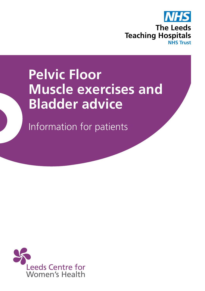

# **Pelvic Floor Muscle exercises and Bladder advice**

Information for patients

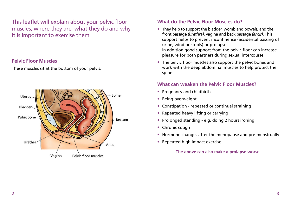This leaflet will explain about your pelvic floor muscles, where they are, what they do and why it is important to exercise them.

#### **Pelvic Floor Muscles**

These muscles sit at the bottom of your pelvis.



# **What do the Pelvic Floor Muscles do?**

- They help to support the bladder, womb and bowels, and the front passage *(urethra)*, vagina and back passage *(anus)*. This support helps to prevent incontinence (accidental passing of urine, wind or stools) or prolapse. In addition good support from the pelvic floor can increase pleasure for both partners during sexual intercourse.
- The pelvic floor muscles also support the pelvic bones and work with the deep abdominal muscles to help protect the spine.

## **What can weaken the Pelvic Floor Muscles?**

- Pregnancy and childbirth
- Being overweight
- Constipation repeated or continual straining
- Repeated heavy lifting or carrying
- Prolonged standing e.g. doing 2 hours ironing
- Chronic cough
- Hormone changes after the menopause and pre-menstrually
- Repeated high impact exercise

**The above can also make a prolapse worse.**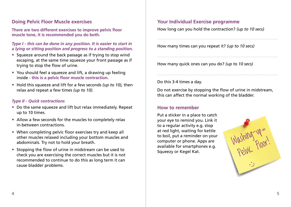## **Doing Pelvic Floor Muscle exercises**

**There are two different exercises to improve pelvic floor muscle tone, it is recommended you do both.**

*Type I - this can be done in any position. It is easier to start in a lying or sitting position and progress to a standing position.*

- Squeeze around the back passage as if trying to stop wind escaping, at the same time squeeze your front passage as if trying to stop the flow of urine.
- You should feel a squeeze and lift, a drawing up feeling inside - **this is a pelvic floor muscle contraction**.
- Hold this squeeze and lift for a few seconds *(up to 10),* then relax and repeat a few times *(up to 10).*

#### *Type II - Quick contractions*

- Do the same squeeze and lift but relax immediately. Repeat up to 10 times.
- Allow a few seconds for the muscles to completely relax in-between contractions.
- When completing pelvic floor exercises try and keep all other muscles relaxed including your bottom muscles and abdominals. Try not to hold your breath.
- Stopping the flow of urine in midstream can be used to check you are exercising the correct muscles but it is not recommended to continue to do this as long term it can cause bladder problems.

## **Your Individual Exercise programme**

How long can you hold the contraction? *(up to 10 secs)*

..................................................................................................................

..................................................................................................................

..................................................................................................................

How many times can you repeat it? *(up to 10 secs)*

How many quick ones can you do? *(up to 10 secs)*

Do this 3-4 times a day.

Do not exercise by stopping the flow of urine in midstream, this can affect the normal working of the bladder.

#### **How to remember**

Put a sticker in a place to catch your eye to remind you. Link it to a regular activity e.g. stop at red light, waiting for kettle to boil, put a reminder on your computer or phone. Apps are available for smartphones e.g. Squeezy or Kegel Kat.

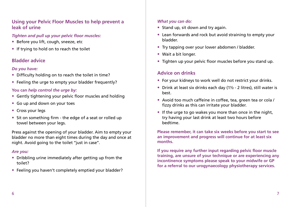## **Using your Pelvic Floor Muscles to help prevent a leak of urine**

#### *Tighten and pull up your pelvic floor muscles:*

- Before you lift, cough, sneeze, etc
- If trying to hold on to reach the toilet

# **Bladder advice**

## *Do you have:*

- Difficulty holding on to reach the toilet in time?
- Feeling the urge to empty your bladder frequently?

## **You can** *help control the urge by:*

- Gently tightening your pelvic floor muscles and holding
- Go up and down on your toes
- Cross your legs
- Sit on something firm the edge of a seat or rolled up towel between your legs.

Press against the opening of your bladder. Aim to empty your bladder no more than eight times during the day and once at night. Avoid going to the toilet ''just in case''.

### *Are you:*

- Dribbling urine immediately after getting up from the toilet?
- Feeling you haven't completely emptied your bladder?

### *What you can do:*

- Stand up, sit down and try again.
- Lean forwards and rock but avoid straining to empty your bladder.
- Try tapping over your lower abdomen / bladder.
- Wait a bit longer.
- Tighten up your pelvic floor muscles before you stand up.

# **Advice on drinks**

- For your kidneys to work well do not restrict your drinks.
- Drink at least six drinks each day (1<sup>1/2</sup> 2 litres), still water is best.
- Avoid too much caffeine in coffee, tea, green tea or cola / fizzy drinks as this can irritate your bladder.
- If the urge to go wakes you more than once in the night, try having your last drink at least two hours before bedtime.

**Please remember, it can take six weeks before you start to see an improvement and progress will continue for at least six months.**

**If you require any further input regarding pelvic floor muscle training, are unsure of your technique or are experiencing any incontinence symptoms please speak to your midwife or GP for a referral to our urogynaecology physiotherapy services.**